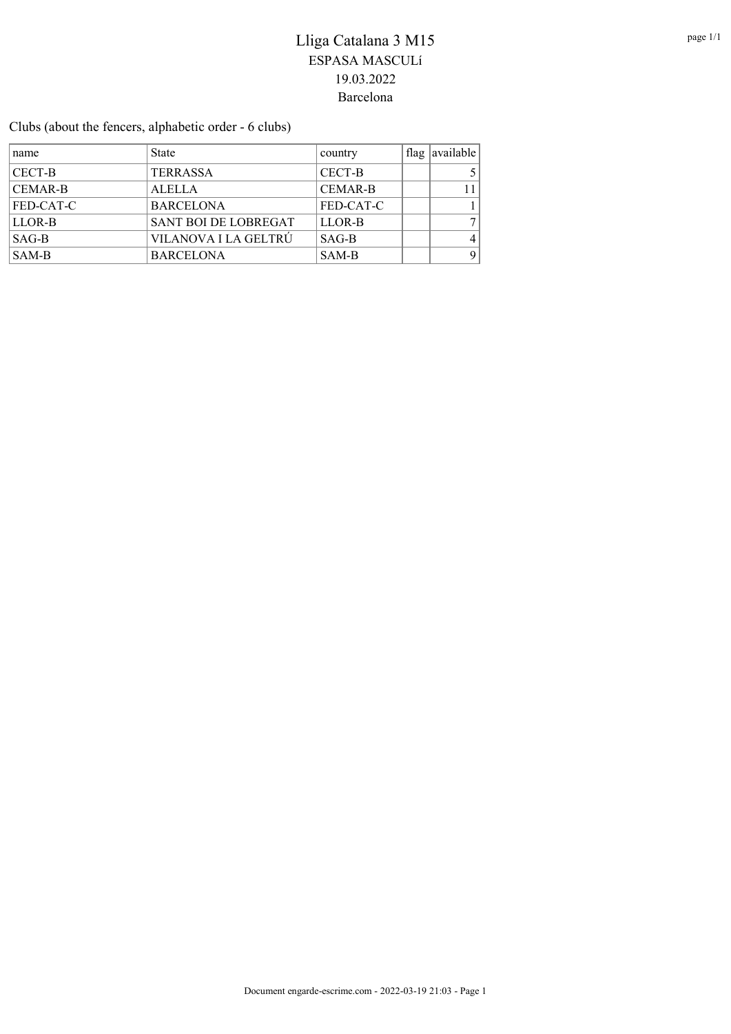Clubs (about the fencers, alphabetic order - 6 clubs)

| name             | <b>State</b>                | country        | flag  available |
|------------------|-----------------------------|----------------|-----------------|
| CECT-B           | <b>TERRASSA</b>             | CECT-B         |                 |
| <b>CEMAR-B</b>   | <b>ALELLA</b>               | <b>CEMAR-B</b> | 11              |
| <b>FED-CAT-C</b> | <b>BARCELONA</b>            | FED-CAT-C      |                 |
| LLOR-B           | <b>SANT BOI DE LOBREGAT</b> | LLOR-B         | 7 <sub>1</sub>  |
| $SAG-B$          | VILANOVA I LA GELTRÚ        | $SAG-B$        | 4               |
| SAM-B            | <b>BARCELONA</b>            | SAM-B          | 9               |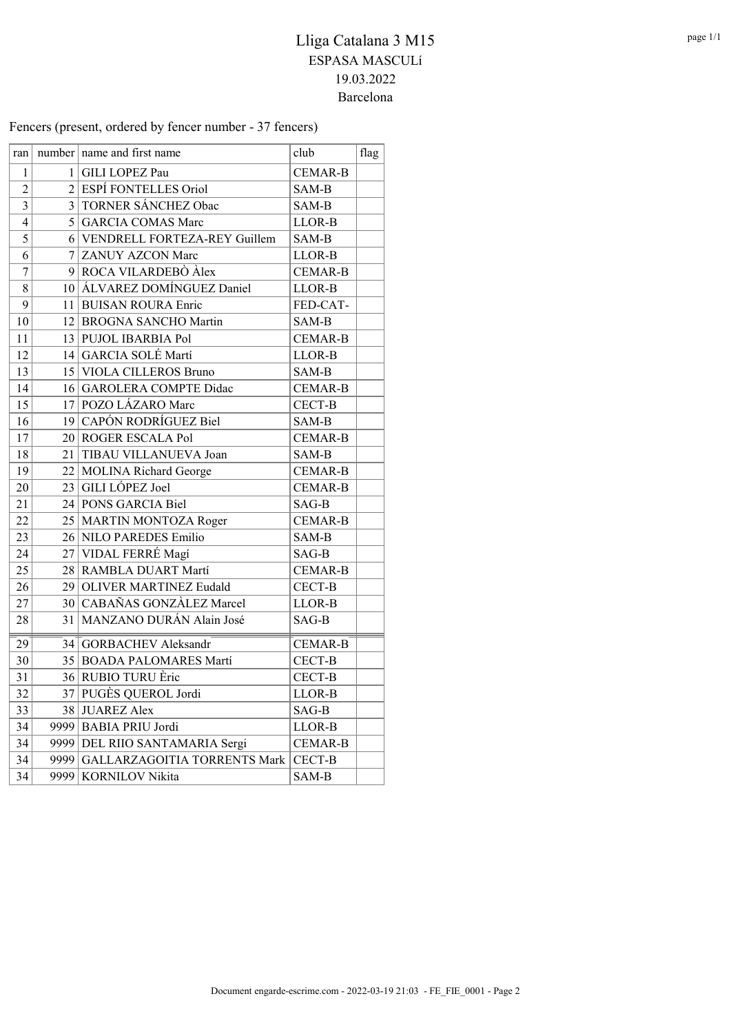Fencers (present, ordered by fencer number - 37 fencers)

| ran                     |      | $number$ name and first name      | club           | flag |
|-------------------------|------|-----------------------------------|----------------|------|
| $\mathbf{1}$            |      | 1 GILI LOPEZ Pau                  | <b>CEMAR-B</b> |      |
| $\overline{2}$          |      | 2 ESPÍ FONTELLES Oriol            | SAM-B          |      |
| $\overline{\mathbf{3}}$ |      | 3 TORNER SÁNCHEZ Obac             | SAM-B          |      |
| $\overline{4}$          |      | 5 GARCIA COMAS Marc               | LLOR-B         |      |
| 5                       |      | 6 VENDRELL FORTEZA-REY Guillem    | SAM-B          |      |
| 6                       | 7    | <b>ZANUY AZCON Marc</b>           | LLOR-B         |      |
| $\sqrt{ }$              |      | 9 ROCA VILARDEBÒ Àlex             | <b>CEMAR-B</b> |      |
| 8                       |      | 10 ALVAREZ DOMÍNGUEZ Daniel       | LLOR-B         |      |
| 9                       |      | 11 BUISAN ROURA Enric             | FED-CAT-       |      |
| 10                      |      | 12 BROGNA SANCHO Martin           | SAM-B          |      |
| 11                      |      | 13 PUJOL IBARBIA Pol              | <b>CEMAR-B</b> |      |
| 12                      |      | 14 GARCIA SOLÉ Martí              | LLOR-B         |      |
| 13                      |      | 15 VIOLA CILLEROS Bruno           | SAM-B          |      |
| 14                      |      | 16 GAROLERA COMPTE Didac          | <b>CEMAR-B</b> |      |
| 15                      |      | 17 POZO LÁZARO Marc               | CECT-B         |      |
| 16                      |      | 19 CAPÓN RODRÍGUEZ Biel           | SAM-B          |      |
| 17                      |      | 20 ROGER ESCALA Pol               | <b>CEMAR-B</b> |      |
| 18                      |      | 21 TIBAU VILLANUEVA Joan          | SAM-B          |      |
| 19                      |      | 22 MOLINA Richard George          | <b>CEMAR-B</b> |      |
| 20                      | 23   | GILI LÓPEZ Joel                   | <b>CEMAR-B</b> |      |
| 21                      |      | 24 PONS GARCIA Biel               | SAG-B          |      |
| 22                      |      | 25   MARTIN MONTOZA Roger         | <b>CEMAR-B</b> |      |
| 23                      |      | 26 NILO PAREDES Emilio            | SAM-B          |      |
| 24                      |      | 27 VIDAL FERRÉ Magí               | SAG-B          |      |
| 25                      |      | 28 RAMBLA DUART Martí             | <b>CEMAR-B</b> |      |
| 26                      |      | 29 OLIVER MARTINEZ Eudald         | CECT-B         |      |
| 27                      |      | 30 CABAÑAS GONZÀLEZ Marcel        | LLOR-B         |      |
| 28                      |      | 31   MANZANO DURÁN Alain José     | SAG-B          |      |
| 29                      |      | 34 GORBACHEV Aleksandr            | <b>CEMAR-B</b> |      |
| 30                      |      | 35 BOADA PALOMARES Martí          | CECT-B         |      |
| 31                      |      | 36 RUBIO TURU Èric                | CECT-B         |      |
| $\overline{32}$         |      | 37 PUGÈS QUEROL Jordi             | LLOR-B         |      |
| 33                      |      | 38 JUAREZ Alex                    | SAG-B          |      |
| 34                      |      | 9999 BABIA PRIU Jordi             | LLOR-B         |      |
| 34                      |      | 9999 DEL RIIO SANTAMARIA Sergi    | <b>CEMAR-B</b> |      |
| 34                      |      | 9999 GALLARZAGOITIA TORRENTS Mark | CECT-B         |      |
| 34                      | 9999 | <b>KORNILOV Nikita</b>            | SAM-B          |      |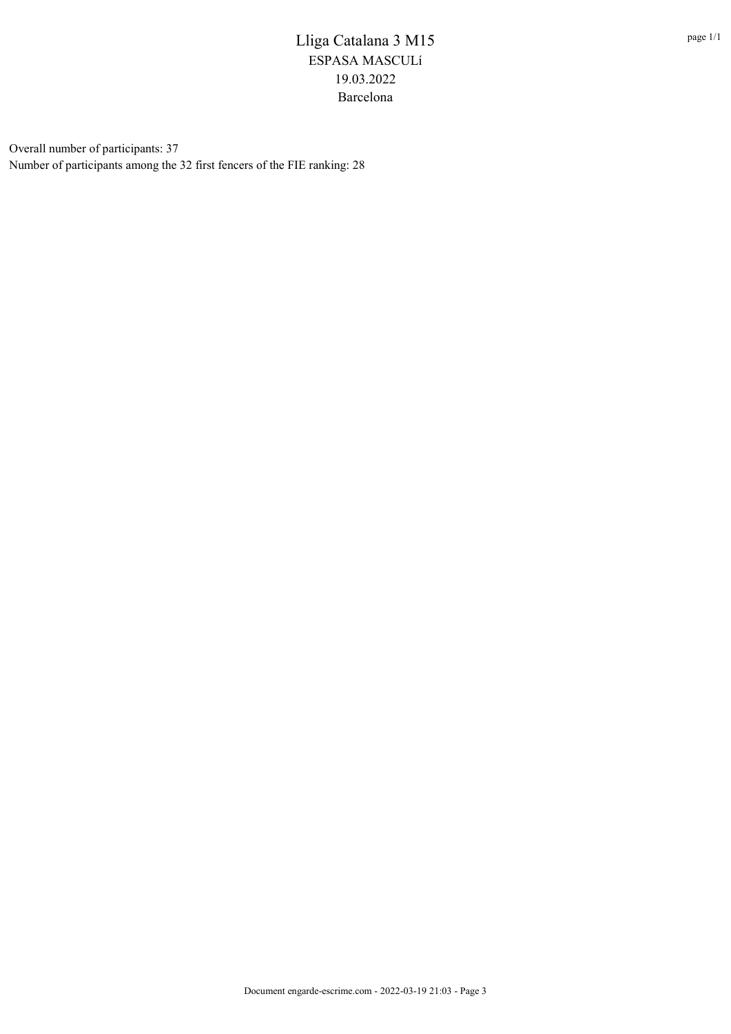Overall number of participants: 37 Number of participants among the 32 first fencers of the FIE ranking: 28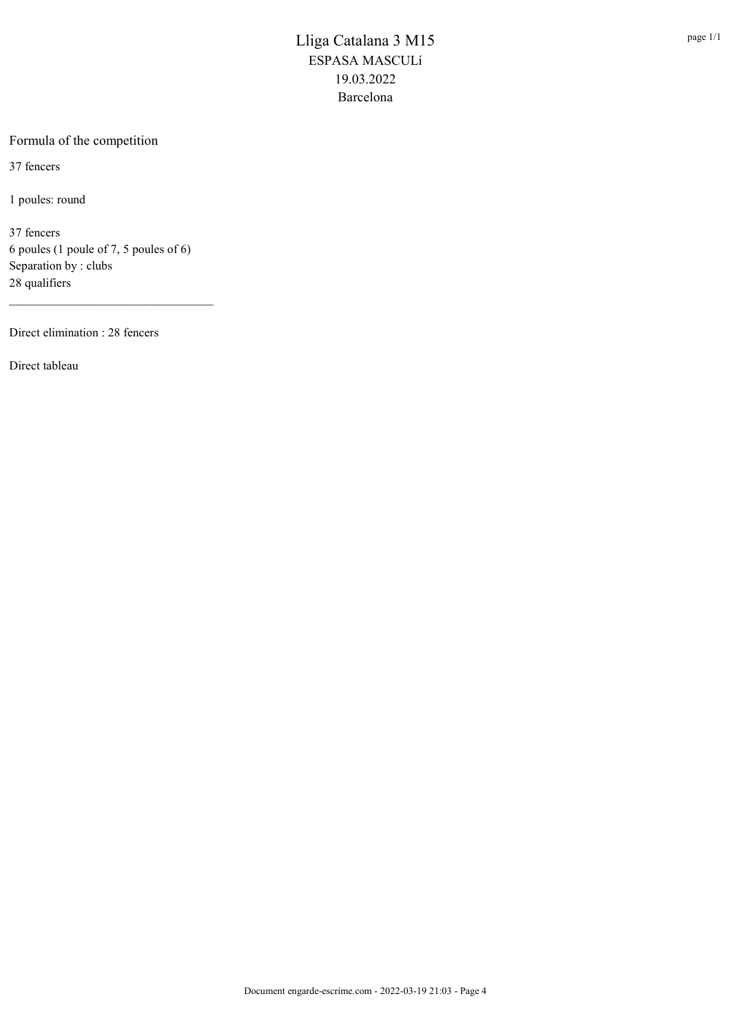### Formula of the competition

37 fencers

1 poules: round

37 fencers 6 poules (1 poule of 7, 5 poules of 6) Separation by : clubs 28 qualifiers

\_\_\_\_\_\_\_\_\_\_\_\_\_\_\_\_\_\_\_\_\_\_\_\_\_\_\_\_\_\_\_\_\_

Direct elimination : 28 fencers

Direct tableau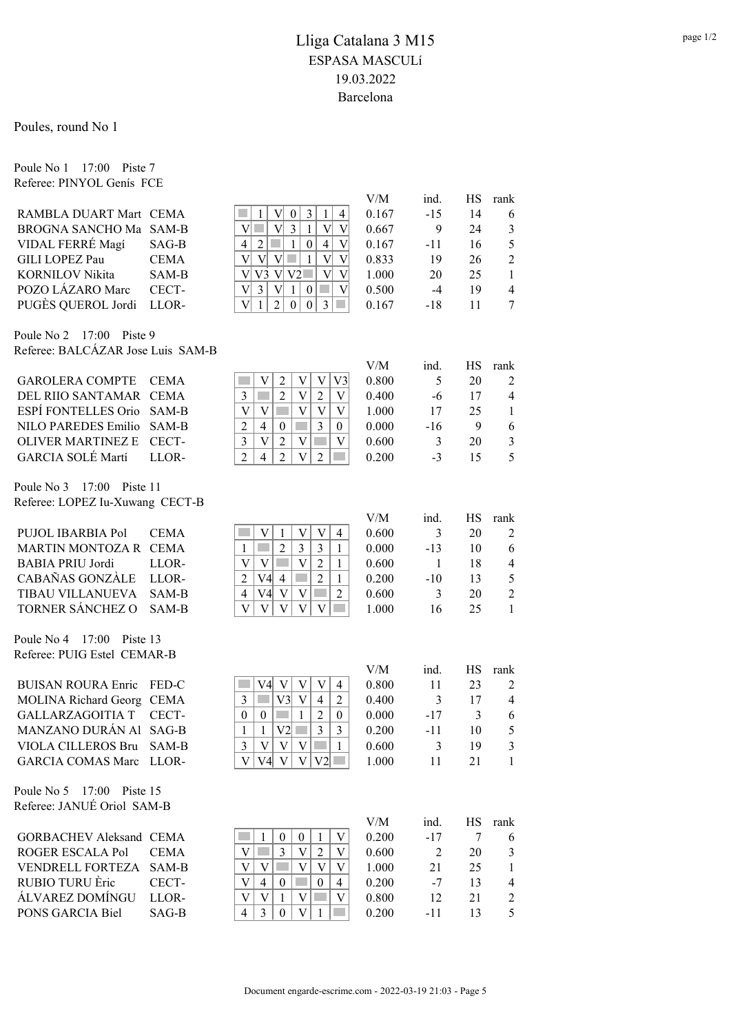### Poules, round No 1

Poule No 1 17:00 Piste 7 Referee: PINYOL Genís FCE

|                                   |             |                                                                                                   | V/M   | ind.           | HS     | rank                     |
|-----------------------------------|-------------|---------------------------------------------------------------------------------------------------|-------|----------------|--------|--------------------------|
| RAMBLA DUART Mart CEMA            |             | 3<br>1<br>V<br>$\boldsymbol{0}$<br>$\mathbf{1}$<br>4                                              | 0.167 | $-15$          | 14     | 6                        |
| BROGNA SANCHO Ma SAM-B            |             | V<br>×.<br>V<br>3<br>$\mathbf{1}$<br>V<br>V                                                       | 0.667 | 9              | 24     | $\overline{3}$           |
| VIDAL FERRÉ Magí                  | SAG-B       | $\overline{2}$<br>m.<br>$\mathbf{1}$<br>$\overline{4}$<br>$\boldsymbol{0}$<br>V<br>4              | 0.167 | $-11$          | 16     | 5                        |
| GILI LOPEZ Pau                    | <b>CEMA</b> | $\overline{V}$<br>$\overline{V}$<br>V<br>V<br><b>T</b><br>$\mathbf{1}$<br>$\overline{\mathsf{V}}$ | 0.833 | 19             | 26     | $\overline{2}$           |
| <b>KORNILOV Nikita</b>            | SAM-B       | $\overline{V}$<br>V <sub>3</sub><br>V V2<br>$\overline{\mathsf{V}}$<br>V                          | 1.000 | 20             | 25     | $\mathbf{1}$             |
| POZO LÁZARO Marc                  | CECT-       | $\overline{3}$<br>V<br>$\mathbf{1}$<br>$\mathbf V$<br>$\boldsymbol{0}$<br>×.<br>V                 | 0.500 | $-4$           | 19     | $\overline{\mathbf{4}}$  |
| PUGÈS QUEROL Jordi                | LLOR-       | $\overline{3}$<br>$\overline{2}$<br>V<br>$\boldsymbol{0}$<br>$\boldsymbol{0}$<br>$\mathbf{1}$     | 0.167 | $-18$          | 11     | $\tau$                   |
|                                   |             |                                                                                                   |       |                |        |                          |
| 17:00 Piste 9<br>Poule No 2       |             |                                                                                                   |       |                |        |                          |
| Referee: BALCÁZAR Jose Luis SAM-B |             |                                                                                                   |       |                |        |                          |
|                                   |             |                                                                                                   | V/M   | ind.           | HS     | rank                     |
| <b>GAROLERA COMPTE</b>            | <b>CEMA</b> | $\overline{2}$<br>V<br>V<br>V<br>V3                                                               | 0.800 | 5              | 20     | 2                        |
| DEL RIIO SANTAMAR                 | <b>CEMA</b> | $\overline{2}$<br>$\mathbf V$<br>$\overline{2}$<br>3<br>V                                         | 0.400 | $-6$           | 17     | 4                        |
| <b>ESPÍ FONTELLES Orio</b>        | SAM-B       | V<br>V<br>$\mathbf V$<br>V<br>V                                                                   | 1.000 | 17             | 25     | 1                        |
| <b>NILO PAREDES Emilio</b>        | SAM-B       | 3<br>$\overline{2}$<br>$\overline{4}$<br>$\boldsymbol{0}$<br>$\overline{0}$                       | 0.000 | $-16$          | 9      | 6                        |
| <b>OLIVER MARTINEZ E</b>          | CECT-       | $\overline{3}$<br>$\overline{2}$<br>$\mathbf{V}$<br>V<br>V                                        | 0.600 | 3              | 20     | $\mathfrak{Z}$           |
| GARCIA SOLÉ Martí                 | LLOR-       | $\overline{2}$<br>$\overline{2}$<br>V<br>$\overline{4}$<br>$\overline{2}$<br>a a                  | 0.200 | $-3$           | 15     | 5                        |
|                                   |             |                                                                                                   |       |                |        |                          |
| Poule No 3<br>17:00<br>Piste 11   |             |                                                                                                   |       |                |        |                          |
| Referee: LOPEZ Iu-Xuwang CECT-B   |             |                                                                                                   |       |                |        |                          |
|                                   |             |                                                                                                   | V/M   | ind.           | HS     | rank                     |
| PUJOL IBARBIA Pol                 | <b>CEMA</b> | V<br>V<br>V<br>1<br>$\overline{4}$                                                                | 0.600 | 3              | 20     | 2                        |
| MARTIN MONTOZA R CEMA             |             | $\overline{2}$<br>$\overline{3}$<br>$\mathfrak{Z}$<br>$\mathbf{1}$<br>$\mathbf{1}$                | 0.000 | $-13$          | 10     | 6                        |
| <b>BABIA PRIU Jordi</b>           | LLOR-       | V<br>V<br>V<br>$\overline{2}$<br><b>College</b><br>$\mathbf{1}$                                   | 0.600 | $\mathbf{1}$   | 18     | $\overline{\mathcal{A}}$ |
| CABAÑAS GONZÀLE                   | LLOR-       | $\overline{2}$<br>V4<br>$\overline{2}$<br>$\overline{4}$<br>m.<br>$\mathbf{1}$                    | 0.200 | $-10$          | 13     | 5                        |
| TIBAU VILLANUEVA                  | SAM-B       | $\overline{2}$<br>V4<br>$\mathbf V$<br>4<br>V                                                     | 0.600 | 3              | 20     | $\overline{2}$           |
| TORNER SÁNCHEZ O                  | SAM-B       | V<br>V<br>V<br>V<br>V<br>m.                                                                       | 1.000 | 16             | 25     | 1                        |
| Poule No 4<br>17:00<br>Piste 13   |             |                                                                                                   |       |                |        |                          |
| Referee: PUIG Estel CEMAR-B       |             |                                                                                                   |       |                |        |                          |
|                                   |             |                                                                                                   | V/M   | ind.           | HS     | rank                     |
| <b>BUISAN ROURA Enric</b>         | FED-C       | V4<br>V<br>V<br>V<br>4                                                                            | 0.800 | 11             | 23     | 2                        |
| MOLINA Richard Georg CEMA         |             | $\mathfrak{Z}$<br>V3<br>V<br>$\overline{4}$<br>2                                                  | 0.400 | 3              | 17     | 4                        |
| <b>GALLARZAGOITIA T</b>           | CECT-       | $\overline{2}$<br>1<br>$\boldsymbol{0}$<br>$\theta$<br>0                                          | 0.000 | $-17$          | 3      | 6                        |
| MANZANO DURÁN Al SAG-B            |             | V <sub>2</sub><br>3<br>3<br>1<br>1                                                                | 0.200 | -11            | 10     | 5                        |
| VIOLA CILLEROS Bru                | SAM-B       | 3<br> V <br> V <br>V<br>1                                                                         | 0.600 | 3              | 19     | 3                        |
| GARCIA COMAS Marc LLOR-           |             | V V4 V V V2                                                                                       | 1.000 | 11             | 21     | 1                        |
|                                   |             |                                                                                                   |       |                |        |                          |
| Poule No 5 17:00<br>Piste 15      |             |                                                                                                   |       |                |        |                          |
| Referee: JANUÉ Oriol SAM-B        |             |                                                                                                   |       |                |        |                          |
|                                   |             |                                                                                                   | V/M   | ind.           | HS     | rank                     |
| <b>GORBACHEV Aleksand CEMA</b>    |             | $\boldsymbol{0}$<br>$\boldsymbol{0}$<br>V<br>1<br>1                                               | 0.200 | $-17$          | $\tau$ | 6                        |
| ROGER ESCALA Pol                  | <b>CEMA</b> | $\mathbf V$<br>3<br>V<br>$\overline{2}$<br>V                                                      | 0.600 | $\overline{2}$ | 20     | 3                        |
| <b>VENDRELL FORTEZA</b>           | SAM-B       | $\mathbf V$<br>V<br>V<br>V<br>V                                                                   | 1.000 | 21             | 25     | $\mathbf{1}$             |
| RUBIO TURU Èric                   | CECT-       | $\overline{4}$<br>V<br>$\theta$<br>$\overline{4}$<br>$\overline{0}$                               | 0.200 | $-7$           | 13     | $\overline{\mathcal{A}}$ |
| ÁLVAREZ DOMÍNGU                   | LLOR-       | V<br>V<br>$\mathbf V$<br>V<br>1                                                                   | 0.800 | 12             | 21     | $\overline{c}$           |
| PONS GARCIA Biel                  | SAG-B       | $\overline{3}$<br>V<br>4<br>$\overline{0}$<br>1                                                   | 0.200 | $-11$          | 13     | 5                        |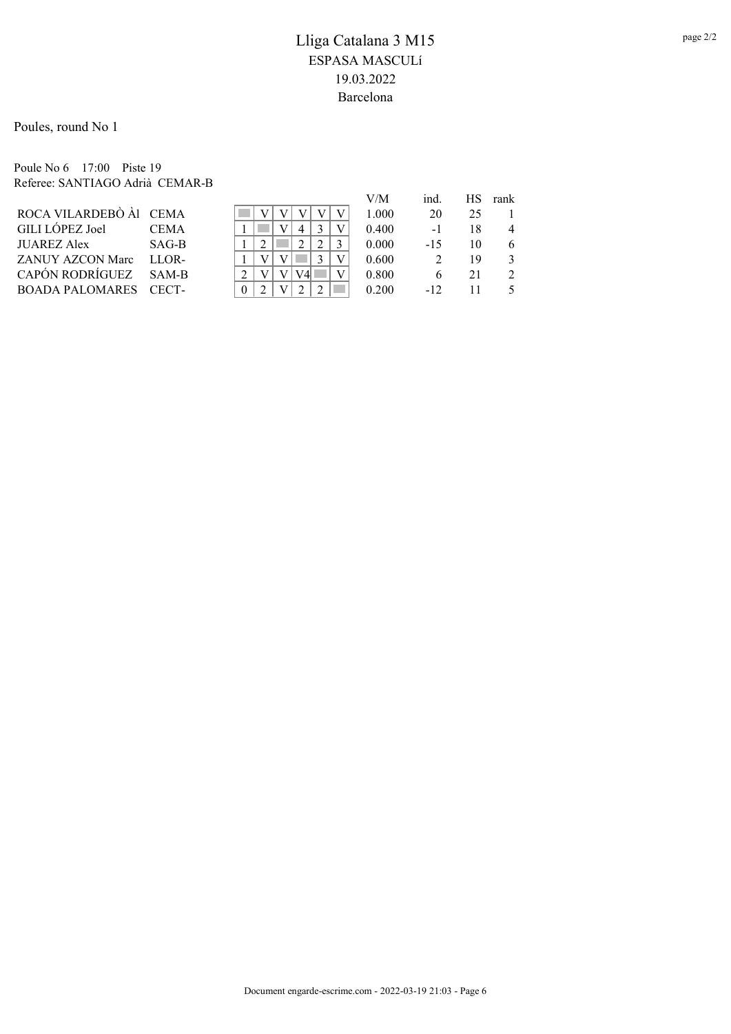Poules, round No 1

Poule No 6 17:00 Piste 19 Referee: SANTIAGO Adrià CEMAR-B

|                        |             |   |  |  | V/M   | ind.  | HS. | rank           |
|------------------------|-------------|---|--|--|-------|-------|-----|----------------|
| ROCA VILARDEBÒ Àl CEMA |             |   |  |  | 1.000 | 20    | 25  |                |
| <b>GILI LOPEZ Joel</b> | <b>CEMA</b> |   |  |  | 0.400 | $-1$  | 18  | $\overline{4}$ |
| JUAREZ Alex            | SAG-B       |   |  |  | 0.000 | $-15$ | 10  | 6              |
| ZANUY AZCON Marc       | LLOR-       |   |  |  | 0.600 |       | 19  | $\mathcal{F}$  |
| <b>CAPÓN RODRÍGUEZ</b> | $SAM-R$     |   |  |  | 0.800 |       | 21  | $\mathcal{L}$  |
| BOADA PALOMARES CECT-  |             | 0 |  |  | 0.200 | $-12$ |     |                |
|                        |             |   |  |  |       |       |     |                |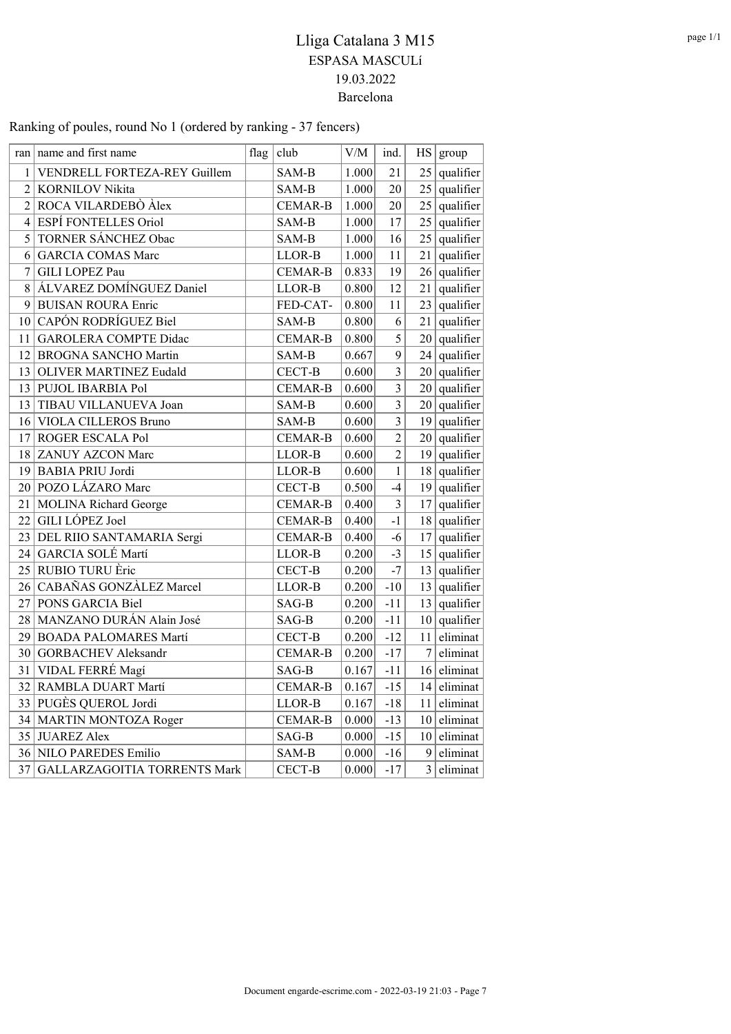|                 | ran   name and first name           | flag | club           | V/M   | ind.                    |                 | HS   group     |
|-----------------|-------------------------------------|------|----------------|-------|-------------------------|-----------------|----------------|
| 1 <sup>1</sup>  | VENDRELL FORTEZA-REY Guillem        |      | SAM-B          | 1.000 | 21                      | 25              | qualifier      |
|                 | 2 KORNILOV Nikita                   |      | SAM-B          | 1.000 | 20                      | 25              | qualifier      |
|                 | 2 ROCA VILARDEBÒ Àlex               |      | <b>CEMAR-B</b> | 1.000 | 20                      |                 | $25$ qualifier |
| 4               | <b>ESPÍ FONTELLES Oriol</b>         |      | SAM-B          | 1.000 | 17                      | 25 <sub>1</sub> | qualifier      |
| 5               | TORNER SÁNCHEZ Obac                 |      | SAM-B          | 1.000 | 16                      | 25              | qualifier      |
| 6               | <b>GARCIA COMAS Marc</b>            |      | LLOR-B         | 1.000 | 11                      | 21              | qualifier      |
| 7               | GILI LOPEZ Pau                      |      | <b>CEMAR-B</b> | 0.833 | 19                      |                 | $26$ qualifier |
| 8               | ÁLVAREZ DOMÍNGUEZ Daniel            |      | LLOR-B         | 0.800 | 12                      | 21              | qualifier      |
| 9               | <b>BUISAN ROURA Enric</b>           |      | FED-CAT-       | 0.800 | 11                      |                 | $23$ qualifier |
| 10              | CAPÓN RODRÍGUEZ Biel                |      | SAM-B          | 0.800 | 6                       | 21              | qualifier      |
| 11              | <b>GAROLERA COMPTE Didac</b>        |      | <b>CEMAR-B</b> | 0.800 | 5                       |                 | $20$ qualifier |
| 12              | <b>BROGNA SANCHO Martin</b>         |      | SAM-B          | 0.667 | 9                       |                 | $24$ qualifier |
|                 | 13 OLIVER MARTINEZ Eudald           |      | CECT-B         | 0.600 | $\overline{\mathbf{3}}$ |                 | $20$ qualifier |
|                 | 13 PUJOL IBARBIA Pol                |      | <b>CEMAR-B</b> | 0.600 | $\overline{3}$          |                 | $20$ qualifier |
|                 | 13 TIBAU VILLANUEVA Joan            |      | SAM-B          | 0.600 | $\overline{3}$          |                 | $20$ qualifier |
|                 | 16 VIOLA CILLEROS Bruno             |      | SAM-B          | 0.600 | 3                       |                 | $19$ qualifier |
|                 | 17 ROGER ESCALA Pol                 |      | <b>CEMAR-B</b> | 0.600 | $\overline{c}$          |                 | $20$ qualifier |
|                 | 18 ZANUY AZCON Marc                 |      | LLOR-B         | 0.600 | $\overline{2}$          |                 | $19$ qualifier |
|                 | 19 BABIA PRIU Jordi                 |      | LLOR-B         | 0.600 | $\mathbf{1}$            |                 | $18$ qualifier |
|                 | 20 POZO LÁZARO Marc                 |      | CECT-B         | 0.500 | $-4$                    | 19              | qualifier      |
|                 | 21 MOLINA Richard George            |      | <b>CEMAR-B</b> | 0.400 | $\overline{3}$          | 17              | qualifier      |
| 22              | GILI LÓPEZ Joel                     |      | <b>CEMAR-B</b> | 0.400 | $-1$                    |                 | $18$ qualifier |
|                 | 23 DEL RIIO SANTAMARIA Sergi        |      | <b>CEMAR-B</b> | 0.400 | $-6$                    | 17              | qualifier      |
| 24              | GARCIA SOLÉ Martí                   |      | LLOR-B         | 0.200 | $-3$                    | 15              | qualifier      |
|                 | 25 RUBIO TURU Èric                  |      | CECT-B         | 0.200 | $-7$                    | 13              | qualifier      |
| 26 <sup>2</sup> | CABAÑAS GONZÀLEZ Marcel             |      | LLOR-B         | 0.200 | $-10$                   | 13              | qualifier      |
|                 | 27 PONS GARCIA Biel                 |      | SAG-B          | 0.200 | $-11$                   | 13 <sup>1</sup> | qualifier      |
|                 | 28 MANZANO DURÁN Alain José         |      | SAG-B          | 0.200 | $-11$                   | 10 <sup>1</sup> | qualifier      |
|                 | 29 BOADA PALOMARES Martí            |      | CECT-B         | 0.200 | $-12$                   | 11              | eliminat       |
| 30              | <b>GORBACHEV</b> Aleksandr          |      | <b>CEMAR-B</b> | 0.200 | $-17$                   | $\tau$          | eliminat       |
| 31              | VIDAL FERRÉ Magí                    |      | SAG-B          | 0.167 | $-11$                   | 16              | eliminat       |
|                 | 32 RAMBLA DUART Martí               |      | <b>CEMAR-B</b> | 0.167 | $-15$                   | 14              | eliminat       |
|                 | 33 PUGES QUEROL Jordi               |      | LLOR-B         | 0.167 | $-18$                   | 11              | eliminat       |
|                 | 34 MARTIN MONTOZA Roger             |      | <b>CEMAR-B</b> | 0.000 | $-13$                   | 10 <sup>1</sup> | eliminat       |
|                 | 35 JUAREZ Alex                      |      | SAG-B          | 0.000 | $-15$                   | 10 <sup>1</sup> | eliminat       |
|                 | 36 NILO PAREDES Emilio              |      | SAM-B          | 0.000 | $-16$                   |                 | $9$ eliminat   |
| 37              | <b>GALLARZAGOITIA TORRENTS Mark</b> |      | CECT-B         | 0.000 | $-17$                   | $\overline{3}$  | eliminat       |

## Ranking of poules, round No 1 (ordered by ranking - 37 fencers)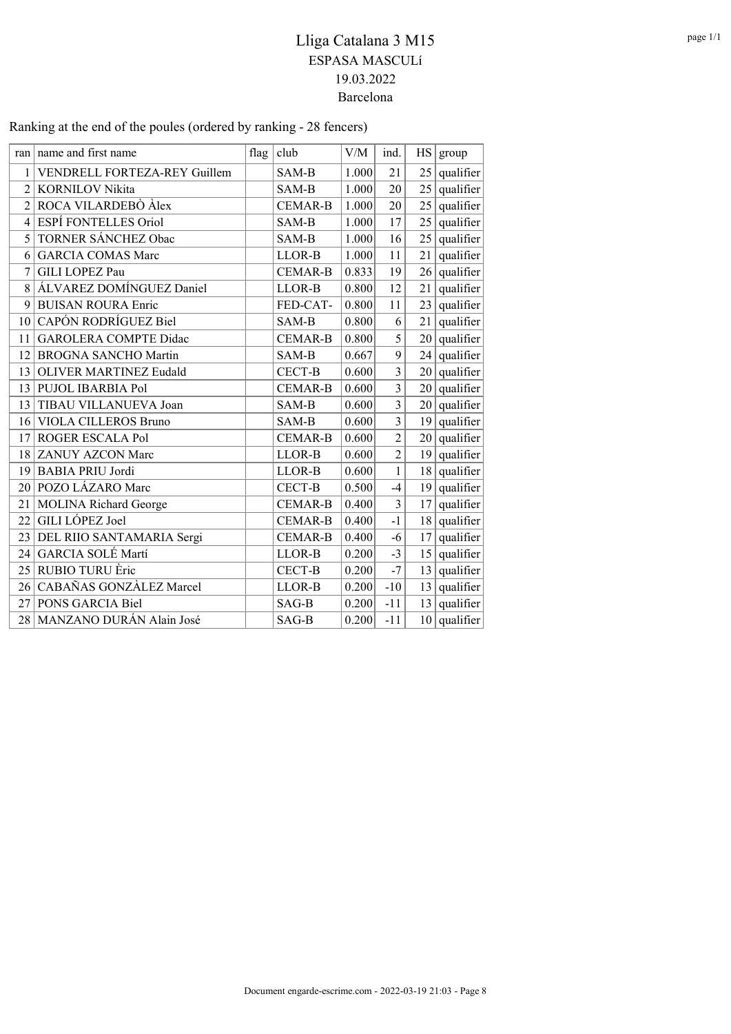|                | ran name and first name       | flag | club           | V/M   | ind.           | HS              | group          |
|----------------|-------------------------------|------|----------------|-------|----------------|-----------------|----------------|
| 1              | VENDRELL FORTEZA-REY Guillem  |      | SAM-B          | 1.000 | 21             | 25              | qualifier      |
| $\overline{c}$ | <b>KORNILOV Nikita</b>        |      | SAM-B          | 1.000 | 20             | 25              | qualifier      |
| 2              | ROCA VILARDEBÒ Àlex           |      | <b>CEMAR-B</b> | 1.000 | 20             | 25              | qualifier      |
| 4              | ESPÍ FONTELLES Oriol          |      | SAM-B          | 1.000 | 17             | 25              | qualifier      |
| 5              | TORNER SÁNCHEZ Obac           |      | SAM-B          | 1.000 | 16             | 25              | qualifier      |
| 6              | <b>GARCIA COMAS Marc</b>      |      | LLOR-B         | 1.000 | 11             | 21              | qualifier      |
| 7              | GILI LOPEZ Pau                |      | <b>CEMAR-B</b> | 0.833 | 19             | 26              | qualifier      |
| 8              | ÁLVAREZ DOMÍNGUEZ Daniel      |      | LLOR-B         | 0.800 | 12             | 21              | qualifier      |
| 9              | <b>BUISAN ROURA Enric</b>     |      | FED-CAT-       | 0.800 | 11             |                 | $23$ qualifier |
| 10             | CAPÓN RODRÍGUEZ Biel          |      | SAM-B          | 0.800 | 6              | 21              | qualifier      |
| 11             | <b>GAROLERA COMPTE Didac</b>  |      | <b>CEMAR-B</b> | 0.800 | 5              | 20              | qualifier      |
| 12             | <b>BROGNA SANCHO Martin</b>   |      | SAM-B          | 0.667 | 9              |                 | $24$ qualifier |
| 13             | <b>OLIVER MARTINEZ Eudald</b> |      | CECT-B         | 0.600 | $\overline{3}$ | 20              | qualifier      |
| 13             | PUJOL IBARBIA Pol             |      | <b>CEMAR-B</b> | 0.600 | $\overline{3}$ | 20              | qualifier      |
| 13             | TIBAU VILLANUEVA Joan         |      | SAM-B          | 0.600 | $\overline{3}$ | 20              | qualifier      |
| 16             | <b>VIOLA CILLEROS Bruno</b>   |      | SAM-B          | 0.600 | $\overline{3}$ | 19 <sup>°</sup> | qualifier      |
| 17             | ROGER ESCALA Pol              |      | <b>CEMAR-B</b> | 0.600 | $\overline{2}$ | 20              | qualifier      |
| 18             | <b>ZANUY AZCON Marc</b>       |      | LLOR-B         | 0.600 | $\overline{2}$ | 19              | qualifier      |
| 19             | <b>BABIA PRIU Jordi</b>       |      | LLOR-B         | 0.600 | $\mathbf{1}$   | 18              | qualifier      |
| 20             | POZO LÁZARO Marc              |      | CECT-B         | 0.500 | $-4$           | 19              | qualifier      |
| 21             | <b>MOLINA Richard George</b>  |      | <b>CEMAR-B</b> | 0.400 | 3              | 17              | qualifier      |
| 22             | GILI LÓPEZ Joel               |      | <b>CEMAR-B</b> | 0.400 | $-1$           | 18              | qualifier      |
| 23             | DEL RIIO SANTAMARIA Sergi     |      | <b>CEMAR-B</b> | 0.400 | $-6$           | 17              | qualifier      |
| 24             | GARCIA SOLÉ Martí             |      | LLOR-B         | 0.200 | $-3$           | 15              | qualifier      |
| 25             | RUBIO TURU Èric               |      | CECT-B         | 0.200 | $-7$           | 13              | qualifier      |
| 26             | CABAÑAS GONZÀLEZ Marcel       |      | LLOR-B         | 0.200 | $-10$          | 13              | qualifier      |
| 27             | PONS GARCIA Biel              |      | $SAG-B$        | 0.200 | $-11$          |                 | $13$ qualifier |
|                | 28 MANZANO DURÁN Alain José   |      | SAG-B          | 0.200 | $-11$          |                 | $10$ qualifier |

## Ranking at the end of the poules (ordered by ranking - 28 fencers)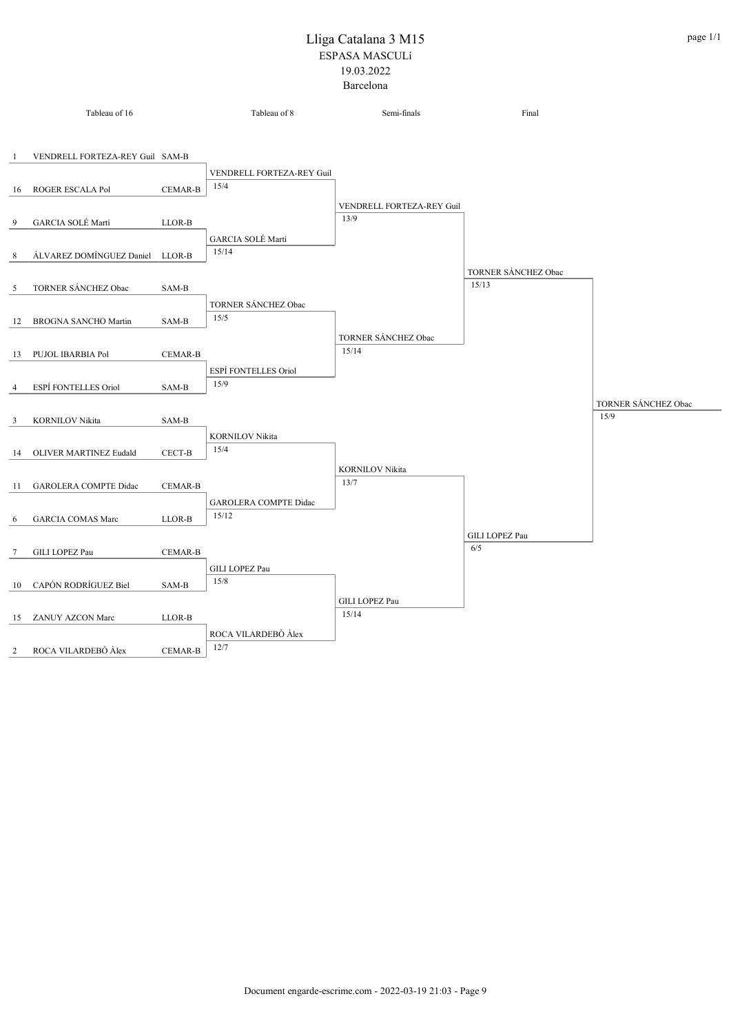|                | Tableau of 16                   |                | Tableau of 8                 | Semi-finals               | Final                        |                     |
|----------------|---------------------------------|----------------|------------------------------|---------------------------|------------------------------|---------------------|
|                |                                 |                |                              |                           |                              |                     |
| -1             | VENDRELL FORTEZA-REY Guil SAM-B |                |                              |                           |                              |                     |
|                |                                 |                | VENDRELL FORTEZA-REY Guil    |                           |                              |                     |
| 16             | ROGER ESCALA Pol                | <b>CEMAR-B</b> | 15/4                         |                           |                              |                     |
|                |                                 |                |                              | VENDRELL FORTEZA-REY Guil |                              |                     |
| 9              | GARCIA SOLÉ Martí               | LLOR-B         |                              | 13/9                      |                              |                     |
|                |                                 |                | GARCIA SOLÉ Martí            |                           |                              |                     |
| 8              | ÁLVAREZ DOMÍNGUEZ Daniel LLOR-B |                | 15/14                        |                           |                              |                     |
|                |                                 |                |                              |                           | TORNER SÁNCHEZ Obac<br>15/13 |                     |
| 5              | TORNER SÁNCHEZ Obac             | SAM-B          |                              |                           |                              |                     |
|                |                                 |                | TORNER SÁNCHEZ Obac<br>15/5  |                           |                              |                     |
| 12             | <b>BROGNA SANCHO Martin</b>     | SAM-B          |                              | TORNER SÁNCHEZ Obac       |                              |                     |
| 13             | PUJOL IBARBIA Pol               | <b>CEMAR-B</b> |                              | 15/14                     |                              |                     |
|                |                                 |                | ESPÍ FONTELLES Oriol         |                           |                              |                     |
| $\overline{4}$ | ESPÍ FONTELLES Oriol            | SAM-B          | 15/9                         |                           |                              |                     |
|                |                                 |                |                              |                           |                              | TORNER SÁNCHEZ Obac |
| 3              | <b>KORNILOV Nikita</b>          | SAM-B          |                              |                           |                              | 15/9                |
|                |                                 |                | <b>KORNILOV Nikita</b>       |                           |                              |                     |
| 14             | OLIVER MARTINEZ Eudald          | CECT-B         | 15/4                         |                           |                              |                     |
|                |                                 |                |                              | <b>KORNILOV Nikita</b>    |                              |                     |
| 11             | <b>GAROLERA COMPTE Didac</b>    | <b>CEMAR-B</b> |                              | 13/7                      |                              |                     |
|                |                                 |                | <b>GAROLERA COMPTE Didac</b> |                           |                              |                     |
| 6              | <b>GARCIA COMAS Marc</b>        | LLOR-B         | 15/12                        |                           |                              |                     |
|                |                                 |                |                              |                           | GILI LOPEZ Pau               |                     |
| 7              | GILI LOPEZ Pau                  | CEMAR-B        |                              |                           | 6/5                          |                     |
|                |                                 |                | GILI LOPEZ Pau<br>15/8       |                           |                              |                     |
| 10             | CAPÓN RODRÍGUEZ Biel            | SAM-B          |                              |                           |                              |                     |
| 15             | ZANUY AZCON Marc                | LLOR-B         |                              | GILI LOPEZ Pau<br>15/14   |                              |                     |
|                |                                 |                | ROCA VILARDEBÒ Àlex          |                           |                              |                     |
| 2              | ROCA VILARDEBÒ Àlex             | <b>CEMAR-B</b> | 12/7                         |                           |                              |                     |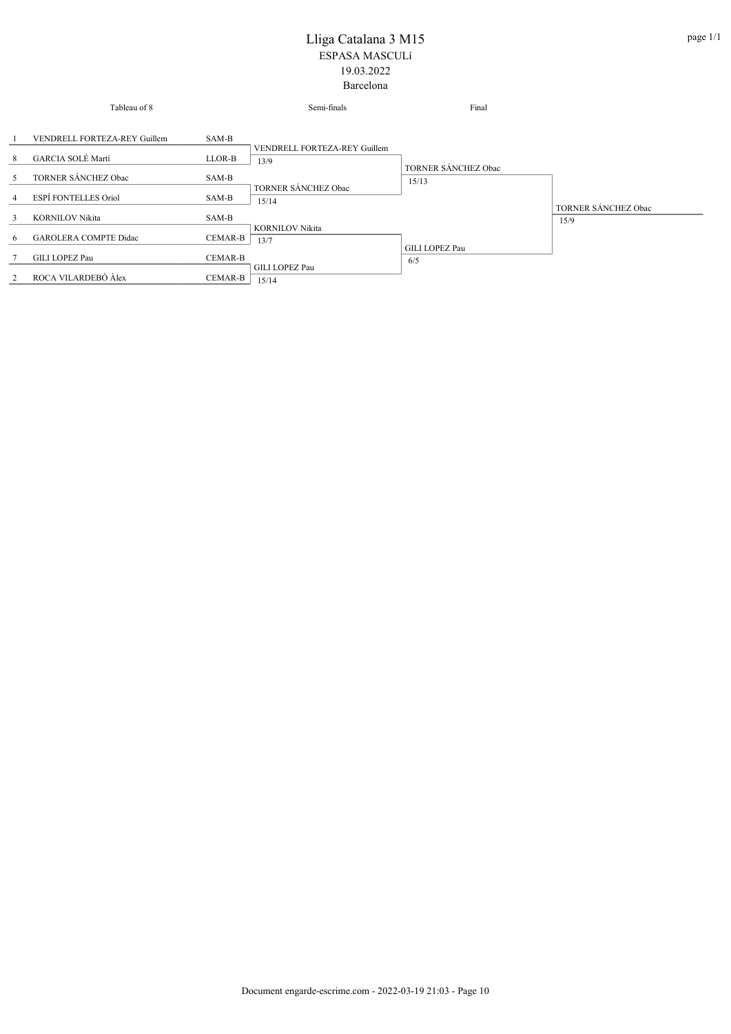|                | Tableau of 8                 |                | Semi-finals                    | Final                        |                     |
|----------------|------------------------------|----------------|--------------------------------|------------------------------|---------------------|
|                | VENDRELL FORTEZA-REY Guillem | SAM-B          | VENDRELL FORTEZA-REY Guillem   |                              |                     |
| 8              | GARCIA SOLÉ Martí            | LLOR-B         | 13/9                           |                              |                     |
| 5              | TORNER SÁNCHEZ Obac          | SAM-B          | TORNER SÁNCHEZ Obac            | TORNER SÁNCHEZ Obac<br>15/13 |                     |
| $\overline{4}$ | ESPÍ FONTELLES Oriol         | SAM-B          | 15/14                          |                              | TORNER SÁNCHEZ Obac |
| 3              | <b>KORNILOV Nikita</b>       | SAM-B          |                                |                              | 15/9                |
| 6              | <b>GAROLERA COMPTE Didac</b> | CEMAR-B        | <b>KORNILOV Nikita</b><br>13/7 |                              |                     |
|                | <b>GILI LOPEZ Pau</b>        | <b>CEMAR-B</b> |                                | GILI LOPEZ Pau<br>6/5        |                     |
| 2              | ROCA VILARDEBÒ Àlex          | CEMAR-B        | <b>GILI LOPEZ Pau</b><br>15/14 |                              |                     |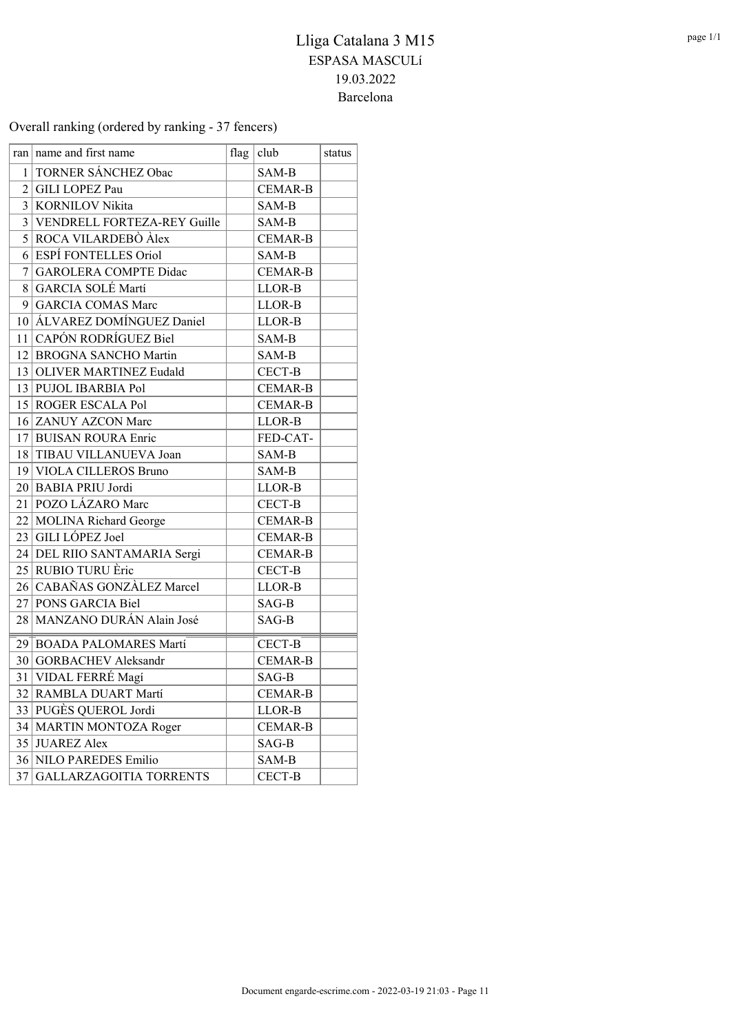Overall ranking (ordered by ranking - 37 fencers)

|                | ran   name and first name      | flag | club           | status |
|----------------|--------------------------------|------|----------------|--------|
| 1              | TORNER SÁNCHEZ Obac            |      | SAM-B          |        |
| $\overline{2}$ | GILI LOPEZ Pau                 |      | <b>CEMAR-B</b> |        |
|                | 3 KORNILOV Nikita              |      | SAM-B          |        |
|                | 3 VENDRELL FORTEZA-REY Guille  |      | SAM-B          |        |
|                | 5 ROCA VILARDEBÒ Àlex          |      | <b>CEMAR-B</b> |        |
| 6              | <b>ESPÍ FONTELLES Oriol</b>    |      | SAM-B          |        |
| 7              | <b>GAROLERA COMPTE Didac</b>   |      | <b>CEMAR-B</b> |        |
| 8              | GARCIA SOLÉ Martí              |      | LLOR-B         |        |
| 9              | <b>GARCIA COMAS Marc</b>       |      | LLOR-B         |        |
|                | 10 ALVAREZ DOMÍNGUEZ Daniel    |      | LLOR-B         |        |
|                | 11 CAPÓN RODRÍGUEZ Biel        |      | SAM-B          |        |
|                | 12 BROGNA SANCHO Martin        |      | SAM-B          |        |
|                | 13 OLIVER MARTINEZ Eudald      |      | CECT-B         |        |
|                | 13 PUJOL IBARBIA Pol           |      | <b>CEMAR-B</b> |        |
|                | 15 ROGER ESCALA Pol            |      | <b>CEMAR-B</b> |        |
|                | 16 ZANUY AZCON Marc            |      | LLOR-B         |        |
| 17             | <b>BUISAN ROURA Enric</b>      |      | FED-CAT-       |        |
|                | 18 TIBAU VILLANUEVA Joan       |      | SAM-B          |        |
|                | 19 VIOLA CILLEROS Bruno        |      | SAM-B          |        |
|                | 20 BABIA PRIU Jordi            |      | LLOR-B         |        |
|                | 21   POZO LÁZARO Marc          |      | CECT-B         |        |
|                | 22 MOLINA Richard George       |      | <b>CEMAR-B</b> |        |
|                | 23 GILI LÓPEZ Joel             |      | <b>CEMAR-B</b> |        |
|                | 24 DEL RIIO SANTAMARIA Sergi   |      | <b>CEMAR-B</b> |        |
|                | 25 RUBIO TURU Èric             |      | CECT-B         |        |
|                | 26 CABAÑAS GONZÀLEZ Marcel     |      | LLOR-B         |        |
|                | 27 PONS GARCIA Biel            |      | SAG-B          |        |
|                | 28   MANZANO DURÁN Alain José  |      | SAG-B          |        |
|                | 29 BOADA PALOMARES Martí       |      | CECT-B         |        |
|                | 30 GORBACHEV Aleksandr         |      | <b>CEMAR-B</b> |        |
|                | 31 VIDAL FERRÉ Magí            |      | SAG-B          |        |
|                | 32 RAMBLA DUART Martí          |      | <b>CEMAR-B</b> |        |
|                | 33 PUGÈS QUEROL Jordi          |      | LLOR-B         |        |
|                | 34 MARTIN MONTOZA Roger        |      | <b>CEMAR-B</b> |        |
|                | 35 JUAREZ Alex                 |      | SAG-B          |        |
|                | 36 NILO PAREDES Emilio         |      | SAM-B          |        |
| 37             | <b>GALLARZAGOITIA TORRENTS</b> |      | CECT-B         |        |